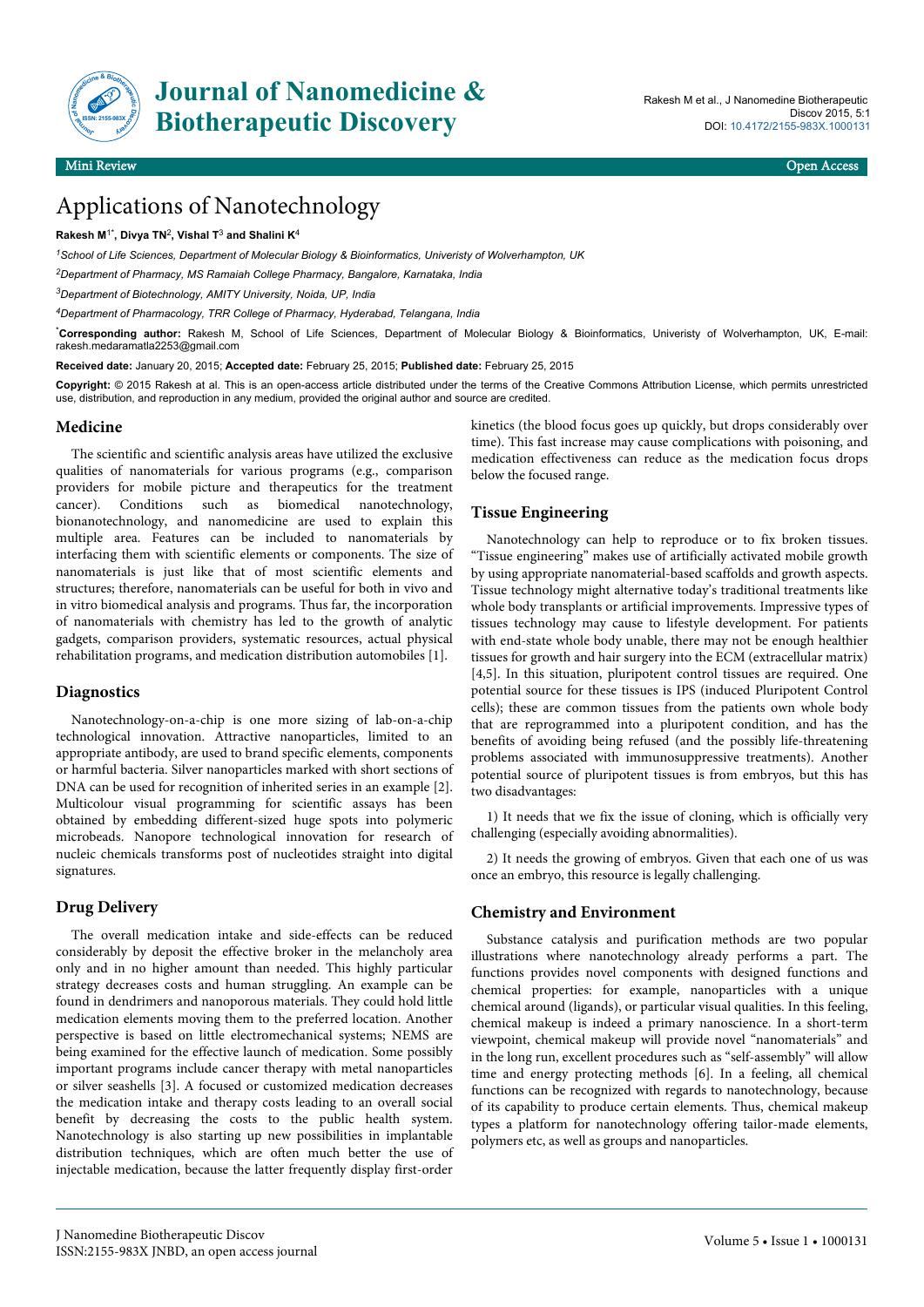

# **Journal of Nanomedicine & Biotherapeutic Discovery**

# Applications of Nanotechnology

#### **Rakesh M**1\* **, Divya TN**<sup>2</sup> **, Vishal T**<sup>3</sup>  **and Shalini K**<sup>4</sup>

*<sup>1</sup>School of Life Sciences, Department of Molecular Biology & Bioinformatics, Univeristy of Wolverhampton, UK*

*<sup>2</sup>Department of Pharmacy, MS Ramaiah College Pharmacy, Bangalore, Karnataka, India*

*<sup>3</sup>Department of Biotechnology, AMITY University, Noida, UP, India*

*<sup>4</sup>Department of Pharmacology, TRR College of Pharmacy, Hyderabad, Telangana, India*

\***Corresponding author:** Rakesh M, School of Life Sciences, Department of Molecular Biology & Bioinformatics, Univeristy of Wolverhampton, UK, E-mail: rakesh.medaramatla2253@gmail.com

**Received date:** January 20, 2015; **Accepted date:** February 25, 2015; **Published date:** February 25, 2015

**Copyright:** © 2015 Rakesh at al. This is an open-access article distributed under the terms of the Creative Commons Attribution License, which permits unrestricted use, distribution, and reproduction in any medium, provided the original author and source are credited.

# **Medicine**

The scientific and scientific analysis areas have utilized the exclusive qualities of nanomaterials for various programs (e.g., comparison providers for mobile picture and therapeutics for the treatment cancer). Conditions such as biomedical nanotechnology, bionanotechnology, and nanomedicine are used to explain this multiple area. Features can be included to nanomaterials by interfacing them with scientific elements or components. The size of nanomaterials is just like that of most scientific elements and structures; therefore, nanomaterials can be useful for both in vivo and in vitro biomedical analysis and programs. Thus far, the incorporation of nanomaterials with chemistry has led to the growth of analytic gadgets, comparison providers, systematic resources, actual physical rehabilitation programs, and medication distribution automobiles [1].

# **Diagnostics**

Nanotechnology-on-a-chip is one more sizing of lab-on-a-chip technological innovation. Attractive nanoparticles, limited to an appropriate antibody, are used to brand specific elements, components or harmful bacteria. Silver nanoparticles marked with short sections of DNA can be used for recognition of inherited series in an example [2]. Multicolour visual programming for scientific assays has been obtained by embedding different-sized huge spots into polymeric microbeads. Nanopore technological innovation for research of nucleic chemicals transforms post of nucleotides straight into digital signatures.

# **Drug Delivery**

The overall medication intake and side-effects can be reduced considerably by deposit the effective broker in the melancholy area only and in no higher amount than needed. This highly particular strategy decreases costs and human struggling. An example can be found in dendrimers and nanoporous materials. They could hold little medication elements moving them to the preferred location. Another perspective is based on little electromechanical systems; NEMS are being examined for the effective launch of medication. Some possibly important programs include cancer therapy with metal nanoparticles or silver seashells [3]. A focused or customized medication decreases the medication intake and therapy costs leading to an overall social benefit by decreasing the costs to the public health system. Nanotechnology is also starting up new possibilities in implantable distribution techniques, which are often much better the use of injectable medication, because the latter frequently display first-order

kinetics (the blood focus goes up quickly, but drops considerably over time). This fast increase may cause complications with poisoning, and medication effectiveness can reduce as the medication focus drops below the focused range.

# **Tissue Engineering**

Nanotechnology can help to reproduce or to fix broken tissues. "Tissue engineering" makes use of artificially activated mobile growth by using appropriate nanomaterial-based scaffolds and growth aspects. Tissue technology might alternative today's traditional treatments like whole body transplants or artificial improvements. Impressive types of tissues technology may cause to lifestyle development. For patients with end-state whole body unable, there may not be enough healthier tissues for growth and hair surgery into the ECM (extracellular matrix) [4,5]. In this situation, pluripotent control tissues are required. One potential source for these tissues is IPS (induced Pluripotent Control cells); these are common tissues from the patients own whole body that are reprogrammed into a pluripotent condition, and has the benefits of avoiding being refused (and the possibly life-threatening problems associated with immunosuppressive treatments). Another potential source of pluripotent tissues is from embryos, but this has two disadvantages:

1) It needs that we fix the issue of cloning, which is officially very challenging (especially avoiding abnormalities).

2) It needs the growing of embryos. Given that each one of us was once an embryo, this resource is legally challenging.

# **Chemistry and Environment**

Substance catalysis and purification methods are two popular illustrations where nanotechnology already performs a part. The functions provides novel components with designed functions and chemical properties: for example, nanoparticles with a unique chemical around (ligands), or particular visual qualities. In this feeling, chemical makeup is indeed a primary nanoscience. In a short-term viewpoint, chemical makeup will provide novel "nanomaterials" and in the long run, excellent procedures such as "self-assembly" will allow time and energy protecting methods [6]. In a feeling, all chemical functions can be recognized with regards to nanotechnology, because of its capability to produce certain elements. Thus, chemical makeup types a platform for nanotechnology offering tailor-made elements, polymers etc, as well as groups and nanoparticles.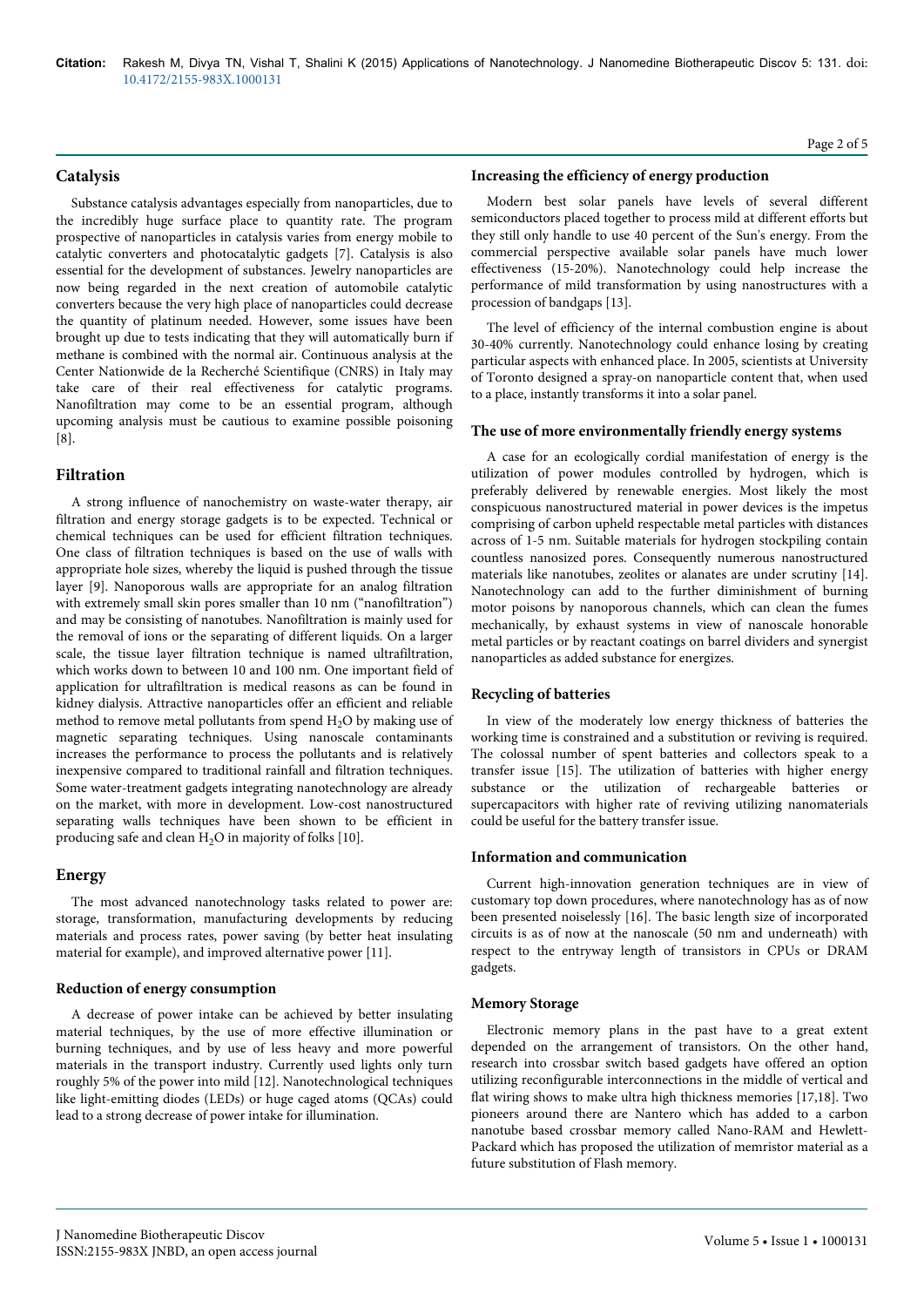# **Catalysis**

Substance catalysis advantages especially from nanoparticles, due to the incredibly huge surface place to quantity rate. The program prospective of nanoparticles in catalysis varies from energy mobile to catalytic converters and photocatalytic gadgets [7]. Catalysis is also essential for the development of substances. Jewelry nanoparticles are now being regarded in the next creation of automobile catalytic converters because the very high place of nanoparticles could decrease the quantity of platinum needed. However, some issues have been brought up due to tests indicating that they will automatically burn if methane is combined with the normal air. Continuous analysis at the Center Nationwide de la Recherché Scientifique (CNRS) in Italy may take care of their real effectiveness for catalytic programs. Nanofiltration may come to be an essential program, although upcoming analysis must be cautious to examine possible poisoning [8].

# **Filtration**

A strong influence of nanochemistry on waste-water therapy, air filtration and energy storage gadgets is to be expected. Technical or chemical techniques can be used for efficient filtration techniques. One class of filtration techniques is based on the use of walls with appropriate hole sizes, whereby the liquid is pushed through the tissue layer [9]. Nanoporous walls are appropriate for an analog filtration with extremely small skin pores smaller than 10 nm ("nanofiltration") and may be consisting of nanotubes. Nanofiltration is mainly used for the removal of ions or the separating of different liquids. On a larger scale, the tissue layer filtration technique is named ultrafiltration, which works down to between 10 and 100 nm. One important field of application for ultrafiltration is medical reasons as can be found in kidney dialysis. Attractive nanoparticles offer an efficient and reliable method to remove metal pollutants from spend H2O by making use of magnetic separating techniques. Using nanoscale contaminants increases the performance to process the pollutants and is relatively inexpensive compared to traditional rainfall and filtration techniques. Some water-treatment gadgets integrating nanotechnology are already on the market, with more in development. Low-cost nanostructured separating walls techniques have been shown to be efficient in producing safe and clean H2O in majority of folks [10].

# **Energy**

The most advanced nanotechnology tasks related to power are: storage, transformation, manufacturing developments by reducing materials and process rates, power saving (by better heat insulating material for example), and improved alternative power [11].

# **Reduction of energy consumption**

A decrease of power intake can be achieved by better insulating material techniques, by the use of more effective illumination or burning techniques, and by use of less heavy and more powerful materials in the transport industry. Currently used lights only turn roughly 5% of the power into mild [12]. Nanotechnological techniques like light-emitting diodes (LEDs) or huge caged atoms (QCAs) could lead to a strong decrease of power intake for illumination.

# **Increasing the efficiency of energy production**

Modern best solar panels have levels of several different semiconductors placed together to process mild at different efforts but they still only handle to use 40 percent of the Sun's energy. From the commercial perspective available solar panels have much lower effectiveness (15-20%). Nanotechnology could help increase the performance of mild transformation by using nanostructures with a procession of bandgaps [13].

The level of efficiency of the internal combustion engine is about 30-40% currently. Nanotechnology could enhance losing by creating particular aspects with enhanced place. In 2005, scientists at University of Toronto designed a spray-on nanoparticle content that, when used to a place, instantly transforms it into a solar panel.

#### **The use of more environmentally friendly energy systems**

A case for an ecologically cordial manifestation of energy is the utilization of power modules controlled by hydrogen, which is preferably delivered by renewable energies. Most likely the most conspicuous nanostructured material in power devices is the impetus comprising of carbon upheld respectable metal particles with distances across of 1-5 nm. Suitable materials for hydrogen stockpiling contain countless nanosized pores. Consequently numerous nanostructured materials like nanotubes, zeolites or alanates are under scrutiny [14]. Nanotechnology can add to the further diminishment of burning motor poisons by nanoporous channels, which can clean the fumes mechanically, by exhaust systems in view of nanoscale honorable metal particles or by reactant coatings on barrel dividers and synergist nanoparticles as added substance for energizes.

# **Recycling of batteries**

In view of the moderately low energy thickness of batteries the working time is constrained and a substitution or reviving is required. The colossal number of spent batteries and collectors speak to a transfer issue [15]. The utilization of batteries with higher energy substance or the utilization of rechargeable batteries or supercapacitors with higher rate of reviving utilizing nanomaterials could be useful for the battery transfer issue.

### **Information and communication**

Current high-innovation generation techniques are in view of customary top down procedures, where nanotechnology has as of now been presented noiselessly [16]. The basic length size of incorporated circuits is as of now at the nanoscale (50 nm and underneath) with respect to the entryway length of transistors in CPUs or DRAM gadgets.

#### **Memory Storage**

Electronic memory plans in the past have to a great extent depended on the arrangement of transistors. On the other hand, research into crossbar switch based gadgets have offered an option utilizing reconfigurable interconnections in the middle of vertical and flat wiring shows to make ultra high thickness memories [17,18]. Two pioneers around there are Nantero which has added to a carbon nanotube based crossbar memory called Nano-RAM and Hewlett-Packard which has proposed the utilization of memristor material as a future substitution of Flash memory.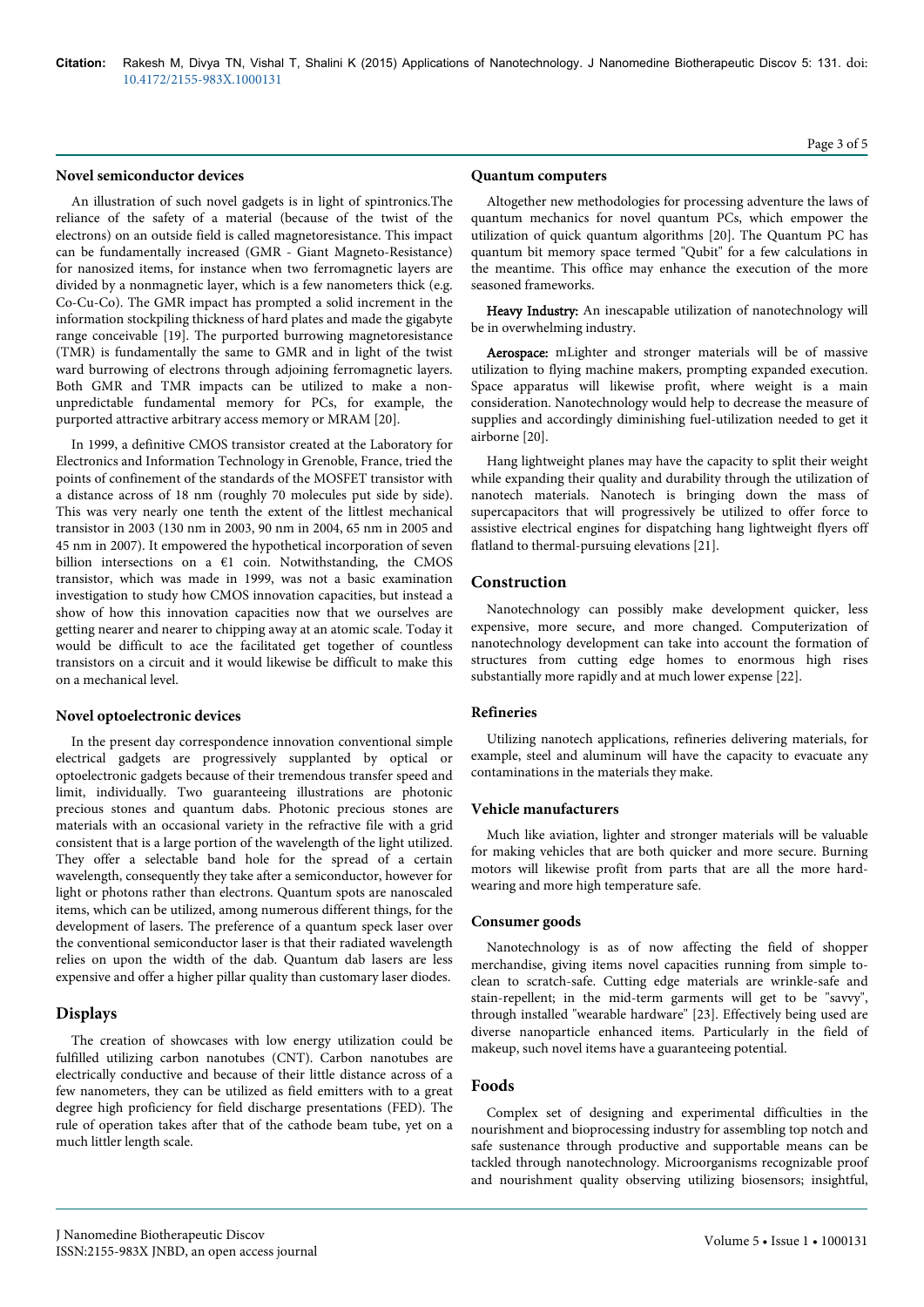#### **Novel semiconductor devices**

An illustration of such novel gadgets is in light of spintronics.The reliance of the safety of a material (because of the twist of the electrons) on an outside field is called magnetoresistance. This impact can be fundamentally increased (GMR - Giant Magneto-Resistance) for nanosized items, for instance when two ferromagnetic layers are divided by a nonmagnetic layer, which is a few nanometers thick (e.g. Co-Cu-Co). The GMR impact has prompted a solid increment in the information stockpiling thickness of hard plates and made the gigabyte range conceivable [19]. The purported burrowing magnetoresistance (TMR) is fundamentally the same to GMR and in light of the twist ward burrowing of electrons through adjoining ferromagnetic layers. Both GMR and TMR impacts can be utilized to make a nonunpredictable fundamental memory for PCs, for example, the purported attractive arbitrary access memory or MRAM [20].

In 1999, a definitive CMOS transistor created at the Laboratory for Electronics and Information Technology in Grenoble, France, tried the points of confinement of the standards of the MOSFET transistor with a distance across of 18 nm (roughly 70 molecules put side by side). This was very nearly one tenth the extent of the littlest mechanical transistor in 2003 (130 nm in 2003, 90 nm in 2004, 65 nm in 2005 and 45 nm in 2007). It empowered the hypothetical incorporation of seven billion intersections on a  $E1$  coin. Notwithstanding, the CMOS transistor, which was made in 1999, was not a basic examination investigation to study how CMOS innovation capacities, but instead a show of how this innovation capacities now that we ourselves are getting nearer and nearer to chipping away at an atomic scale. Today it would be difficult to ace the facilitated get together of countless transistors on a circuit and it would likewise be difficult to make this on a mechanical level.

#### **Novel optoelectronic devices**

In the present day correspondence innovation conventional simple electrical gadgets are progressively supplanted by optical or optoelectronic gadgets because of their tremendous transfer speed and limit, individually. Two guaranteeing illustrations are photonic precious stones and quantum dabs. Photonic precious stones are materials with an occasional variety in the refractive file with a grid consistent that is a large portion of the wavelength of the light utilized. They offer a selectable band hole for the spread of a certain wavelength, consequently they take after a semiconductor, however for light or photons rather than electrons. Quantum spots are nanoscaled items, which can be utilized, among numerous different things, for the development of lasers. The preference of a quantum speck laser over the conventional semiconductor laser is that their radiated wavelength relies on upon the width of the dab. Quantum dab lasers are less expensive and offer a higher pillar quality than customary laser diodes.

### **Displays**

The creation of showcases with low energy utilization could be fulfilled utilizing carbon nanotubes (CNT). Carbon nanotubes are electrically conductive and because of their little distance across of a few nanometers, they can be utilized as field emitters with to a great degree high proficiency for field discharge presentations (FED). The rule of operation takes after that of the cathode beam tube, yet on a much littler length scale.

#### **Quantum computers**

Altogether new methodologies for processing adventure the laws of quantum mechanics for novel quantum PCs, which empower the utilization of quick quantum algorithms [20]. The Quantum PC has quantum bit memory space termed "Qubit" for a few calculations in the meantime. This office may enhance the execution of the more seasoned frameworks.

Heavy Industry: An inescapable utilization of nanotechnology will be in overwhelming industry.

Aerospace: mLighter and stronger materials will be of massive utilization to flying machine makers, prompting expanded execution. Space apparatus will likewise profit, where weight is a main consideration. Nanotechnology would help to decrease the measure of supplies and accordingly diminishing fuel-utilization needed to get it airborne [20].

Hang lightweight planes may have the capacity to split their weight while expanding their quality and durability through the utilization of nanotech materials. Nanotech is bringing down the mass of supercapacitors that will progressively be utilized to offer force to assistive electrical engines for dispatching hang lightweight flyers off flatland to thermal-pursuing elevations [21].

### **Construction**

Nanotechnology can possibly make development quicker, less expensive, more secure, and more changed. Computerization of nanotechnology development can take into account the formation of structures from cutting edge homes to enormous high rises substantially more rapidly and at much lower expense [22].

#### **Refineries**

Utilizing nanotech applications, refineries delivering materials, for example, steel and aluminum will have the capacity to evacuate any contaminations in the materials they make.

#### **Vehicle manufacturers**

Much like aviation, lighter and stronger materials will be valuable for making vehicles that are both quicker and more secure. Burning motors will likewise profit from parts that are all the more hardwearing and more high temperature safe.

#### **Consumer goods**

Nanotechnology is as of now affecting the field of shopper merchandise, giving items novel capacities running from simple toclean to scratch-safe. Cutting edge materials are wrinkle-safe and stain-repellent; in the mid-term garments will get to be "savvy", through installed "wearable hardware" [23]. Effectively being used are diverse nanoparticle enhanced items. Particularly in the field of makeup, such novel items have a guaranteeing potential.

#### **Foods**

Complex set of designing and experimental difficulties in the nourishment and bioprocessing industry for assembling top notch and safe sustenance through productive and supportable means can be tackled through nanotechnology. Microorganisms recognizable proof and nourishment quality observing utilizing biosensors; insightful,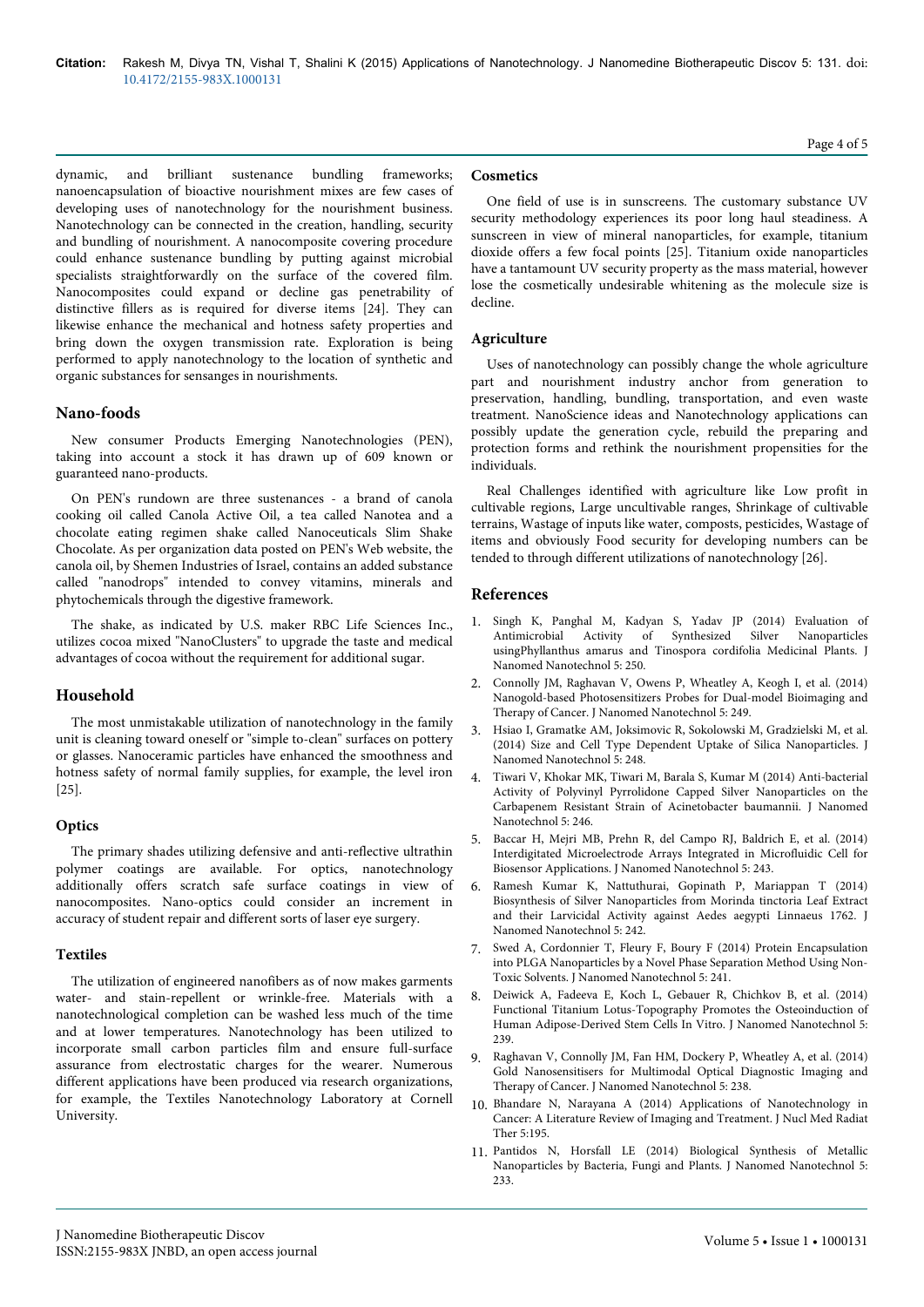dynamic, and brilliant sustenance bundling frameworks; nanoencapsulation of bioactive nourishment mixes are few cases of developing uses of nanotechnology for the nourishment business. Nanotechnology can be connected in the creation, handling, security and bundling of nourishment. A nanocomposite covering procedure could enhance sustenance bundling by putting against microbial specialists straightforwardly on the surface of the covered film. Nanocomposites could expand or decline gas penetrability of distinctive fillers as is required for diverse items [24]. They can likewise enhance the mechanical and hotness safety properties and bring down the oxygen transmission rate. Exploration is being performed to apply nanotechnology to the location of synthetic and organic substances for sensanges in nourishments.

# **Nano-foods**

New consumer Products Emerging Nanotechnologies (PEN), taking into account a stock it has drawn up of 609 known or guaranteed nano-products.

On PEN's rundown are three sustenances - a brand of canola cooking oil called Canola Active Oil, a tea called Nanotea and a chocolate eating regimen shake called Nanoceuticals Slim Shake Chocolate. As per organization data posted on PEN's Web website, the canola oil, by Shemen Industries of Israel, contains an added substance called "nanodrops" intended to convey vitamins, minerals and phytochemicals through the digestive framework.

The shake, as indicated by U.S. maker RBC Life Sciences Inc., utilizes cocoa mixed "NanoClusters" to upgrade the taste and medical advantages of cocoa without the requirement for additional sugar.

# **Household**

The most unmistakable utilization of nanotechnology in the family unit is cleaning toward oneself or "simple to-clean" surfaces on pottery or glasses. Nanoceramic particles have enhanced the smoothness and hotness safety of normal family supplies, for example, the level iron [25].

# **Optics**

The primary shades utilizing defensive and anti-reflective ultrathin polymer coatings are available. For optics, nanotechnology additionally offers scratch safe surface coatings in view of nanocomposites. Nano-optics could consider an increment in accuracy of student repair and different sorts of laser eye surgery.

# **Textiles**

The utilization of engineered nanofibers as of now makes garments water- and stain-repellent or wrinkle-free. Materials with a nanotechnological completion can be washed less much of the time and at lower temperatures. Nanotechnology has been utilized to incorporate small carbon particles film and ensure full-surface assurance from electrostatic charges for the wearer. Numerous different applications have been produced via research organizations, for example, the Textiles Nanotechnology Laboratory at Cornell University.

# **Cosmetics**

One field of use is in sunscreens. The customary substance UV security methodology experiences its poor long haul steadiness. A sunscreen in view of mineral nanoparticles, for example, titanium dioxide offers a few focal points [25]. Titanium oxide nanoparticles have a tantamount UV security property as the mass material, however lose the cosmetically undesirable whitening as the molecule size is decline.

# **Agriculture**

Uses of nanotechnology can possibly change the whole agriculture part and nourishment industry anchor from generation to preservation, handling, bundling, transportation, and even waste treatment. NanoScience ideas and Nanotechnology applications can possibly update the generation cycle, rebuild the preparing and protection forms and rethink the nourishment propensities for the individuals.

Real Challenges identified with agriculture like Low profit in cultivable regions, Large uncultivable ranges, Shrinkage of cultivable terrains, Wastage of inputs like water, composts, pesticides, Wastage of items and obviously Food security for developing numbers can be tended to through different utilizations of nanotechnology [26].

# **References**

- 1. [Singh K, Panghal M, Kadyan S, Yadav JP \(2014\) Evaluation of](http://omicsonline.org/open-access/evaluation-of-antimicrobial-activity-of-synthesized-silver-nanoparticles-2157-7439.1000250.php?aid=35394) Antimicrobial Activity of Synthesized Silver [usingPhyllanthus amarus and Tinospora cordifolia Medicinal Plants. J](http://omicsonline.org/open-access/evaluation-of-antimicrobial-activity-of-synthesized-silver-nanoparticles-2157-7439.1000250.php?aid=35394) [Nanomed Nanotechnol 5: 250.](http://omicsonline.org/open-access/evaluation-of-antimicrobial-activity-of-synthesized-silver-nanoparticles-2157-7439.1000250.php?aid=35394)
- 2. [Connolly JM, Raghavan V, Owens P, Wheatley A, Keogh I, et al. \(2014\)](http://omicsonline.org/open-access/nanogoldbased-photosensitizers-probes-for-dualmodel-bioimaging-and-therapy-of-cancer-2157-7439.1000249.php?aid=34392) [Nanogold-based Photosensitizers Probes for Dual-model Bioimaging and](http://omicsonline.org/open-access/nanogoldbased-photosensitizers-probes-for-dualmodel-bioimaging-and-therapy-of-cancer-2157-7439.1000249.php?aid=34392) [Therapy of Cancer. J Nanomed Nanotechnol 5: 249.](http://omicsonline.org/open-access/nanogoldbased-photosensitizers-probes-for-dualmodel-bioimaging-and-therapy-of-cancer-2157-7439.1000249.php?aid=34392)
- 3. [Hsiao I, Gramatke AM, Joksimovic R, Sokolowski M, Gradzielski M, et al.](http://omicsonline.org/open-access/size-and-cell-type-dependent-uptake-of-silica-nanoparticles-2157-7439.1000248.php?aid=33436) [\(2014\) Size and Cell Type Dependent Uptake of Silica Nanoparticles. J](http://omicsonline.org/open-access/size-and-cell-type-dependent-uptake-of-silica-nanoparticles-2157-7439.1000248.php?aid=33436) [Nanomed Nanotechnol 5: 248.](http://omicsonline.org/open-access/size-and-cell-type-dependent-uptake-of-silica-nanoparticles-2157-7439.1000248.php?aid=33436)
- 4. [Tiwari V, Khokar MK, Tiwari M, Barala S, Kumar M \(2014\) Anti-bacterial](http://omicsonline.org/open-access/antibacterial-activity-of-polyvinyl-pyrrolidone-capped-silver-nanoparticles-on-the-carbapenem-resistant-strain-of-acinetobacter-baumannii-2157-7439.1000246.pdf) [Activity of Polyvinyl Pyrrolidone Capped Silver Nanoparticles on the](http://omicsonline.org/open-access/antibacterial-activity-of-polyvinyl-pyrrolidone-capped-silver-nanoparticles-on-the-carbapenem-resistant-strain-of-acinetobacter-baumannii-2157-7439.1000246.pdf) [Carbapenem Resistant Strain of Acinetobacter baumannii. J Nanomed](http://omicsonline.org/open-access/antibacterial-activity-of-polyvinyl-pyrrolidone-capped-silver-nanoparticles-on-the-carbapenem-resistant-strain-of-acinetobacter-baumannii-2157-7439.1000246.pdf) [Nanotechnol 5: 246.](http://omicsonline.org/open-access/antibacterial-activity-of-polyvinyl-pyrrolidone-capped-silver-nanoparticles-on-the-carbapenem-resistant-strain-of-acinetobacter-baumannii-2157-7439.1000246.pdf)
- 5. [Baccar H, Mejri MB, Prehn R, del Campo RJ, Baldrich E, et al. \(2014\)](http://omicsonline.org/open-access/interdigitated-microelectrode-arrays-integrated-in-microfluidic-cell-for-biosensor-applications-2157-7439.1000243.php?aid=33420) [Interdigitated Microelectrode Arrays Integrated in Microfluidic Cell for](http://omicsonline.org/open-access/interdigitated-microelectrode-arrays-integrated-in-microfluidic-cell-for-biosensor-applications-2157-7439.1000243.php?aid=33420) [Biosensor Applications. J Nanomed Nanotechnol 5: 243.](http://omicsonline.org/open-access/interdigitated-microelectrode-arrays-integrated-in-microfluidic-cell-for-biosensor-applications-2157-7439.1000243.php?aid=33420)
- 6. [Ramesh Kumar K, Nattuthurai, Gopinath P, Mariappan T \(2014\)](http://omicsonline.org/open-access/biosynthesis-of-silver-nanoparticles-from-morinda-tinctoria-leaf-extract-and-their-larvicidal-activity-against-aedes-aegypti-linnaeus-2157-7439.1000242.php?aid=32830) [Biosynthesis of Silver Nanoparticles from Morinda tinctoria Leaf Extract](http://omicsonline.org/open-access/biosynthesis-of-silver-nanoparticles-from-morinda-tinctoria-leaf-extract-and-their-larvicidal-activity-against-aedes-aegypti-linnaeus-2157-7439.1000242.php?aid=32830) [and their Larvicidal Activity against Aedes aegypti Linnaeus 1762. J](http://omicsonline.org/open-access/biosynthesis-of-silver-nanoparticles-from-morinda-tinctoria-leaf-extract-and-their-larvicidal-activity-against-aedes-aegypti-linnaeus-2157-7439.1000242.php?aid=32830) [Nanomed Nanotechnol 5: 242.](http://omicsonline.org/open-access/biosynthesis-of-silver-nanoparticles-from-morinda-tinctoria-leaf-extract-and-their-larvicidal-activity-against-aedes-aegypti-linnaeus-2157-7439.1000242.php?aid=32830)
- 7. [Swed A, Cordonnier T, Fleury F, Boury F \(2014\) Protein Encapsulation](http://omicsonline.org/open-access/protein-encapsulation-into-plga-nanoparticles-by-a-novel-phase-separation-method-using-nontoxic-solvents-2157-7439.1000241.pdf) [into PLGA Nanoparticles by a Novel Phase Separation Method Using Non-](http://omicsonline.org/open-access/protein-encapsulation-into-plga-nanoparticles-by-a-novel-phase-separation-method-using-nontoxic-solvents-2157-7439.1000241.pdf)[Toxic Solvents. J Nanomed Nanotechnol 5: 241.](http://omicsonline.org/open-access/protein-encapsulation-into-plga-nanoparticles-by-a-novel-phase-separation-method-using-nontoxic-solvents-2157-7439.1000241.pdf)
- 8. [Deiwick A, Fadeeva E, Koch L, Gebauer R, Chichkov B, et al. \(2014\)](http://omicsonline.org/open-access/functional-titanium-lotustopography-promotes-the-osteoinduction-of-human-adiposederived-stem-cells-in-vitro-2157-7439.1000239.php?aid=32827) [Functional Titanium Lotus-Topography Promotes the Osteoinduction of](http://omicsonline.org/open-access/functional-titanium-lotustopography-promotes-the-osteoinduction-of-human-adiposederived-stem-cells-in-vitro-2157-7439.1000239.php?aid=32827) [Human Adipose-Derived Stem Cells In Vitro. J Nanomed Nanotechnol 5:](http://omicsonline.org/open-access/functional-titanium-lotustopography-promotes-the-osteoinduction-of-human-adiposederived-stem-cells-in-vitro-2157-7439.1000239.php?aid=32827) [239.](http://omicsonline.org/open-access/functional-titanium-lotustopography-promotes-the-osteoinduction-of-human-adiposederived-stem-cells-in-vitro-2157-7439.1000239.php?aid=32827)
- 9. [Raghavan V, Connolly JM, Fan HM, Dockery P, Wheatley A, et al. \(2014\)](http://omicsonline.org/open-access/gold-nanosensitisers-for-multimodal-optical-diagnostic-imaging-and-therapy-of-cancer-2157-7439.1000238.pdf) [Gold Nanosensitisers for Multimodal Optical Diagnostic Imaging and](http://omicsonline.org/open-access/gold-nanosensitisers-for-multimodal-optical-diagnostic-imaging-and-therapy-of-cancer-2157-7439.1000238.pdf) [Therapy of Cancer. J Nanomed Nanotechnol 5: 238.](http://omicsonline.org/open-access/gold-nanosensitisers-for-multimodal-optical-diagnostic-imaging-and-therapy-of-cancer-2157-7439.1000238.pdf)
- 10. [Bhandare N, Narayana A \(2014\) Applications of Nanotechnology in](http://omicsonline.org/open-access/applications-of-nanotechnology-in-cancer-a-literature-review-of-imaging-and-treatment-2155-9619.1000195.php?aid=32071) [Cancer: A Literature Review of Imaging and Treatment. J Nucl Med Radiat](http://omicsonline.org/open-access/applications-of-nanotechnology-in-cancer-a-literature-review-of-imaging-and-treatment-2155-9619.1000195.php?aid=32071) [Ther 5:195.](http://omicsonline.org/open-access/applications-of-nanotechnology-in-cancer-a-literature-review-of-imaging-and-treatment-2155-9619.1000195.php?aid=32071)
- 11. [Pantidos N, Horsfall LE \(2014\) Biological Synthesis of Metallic](http://omicsonline.org/open-access/biological-synthesis-of-metallic-nanoparticles-by-bacteria-fungi-and-plants-2157-7439.1000233.pdf) [Nanoparticles by Bacteria, Fungi and Plants. J Nanomed Nanotechnol 5:](http://omicsonline.org/open-access/biological-synthesis-of-metallic-nanoparticles-by-bacteria-fungi-and-plants-2157-7439.1000233.pdf) [233.](http://omicsonline.org/open-access/biological-synthesis-of-metallic-nanoparticles-by-bacteria-fungi-and-plants-2157-7439.1000233.pdf)